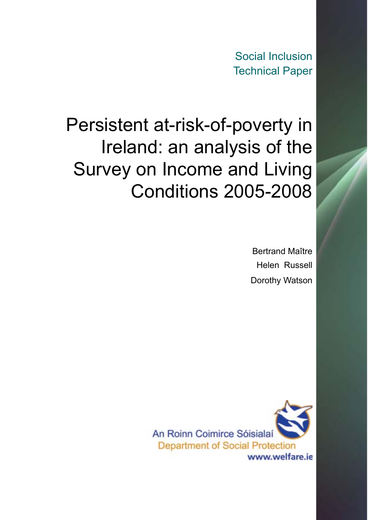Social Inclusion Technical Paper

# <span id="page-0-0"></span>Persistent at-risk-of-poverty in Ireland: an analysis of the Survey on Income and Living Conditions 2005-2008

Bertrand Maître Helen Russell Dorothy Watson

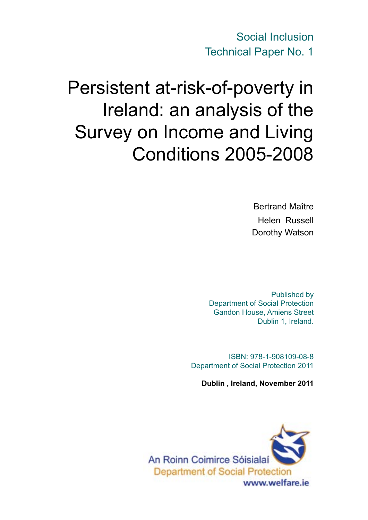Social Inclusion Technical Paper No. 1

# Persistent at-risk-of-poverty in Ireland: an analysis of the Survey on Income and Living Conditions 2005-2008

Bertrand Maître Helen Russell Dorothy Watson

Published by Department of Social Protection Gandon House, Amiens Street Dublin 1, Ireland.

ISBN: 978-1-908109-08-8 Department of Social Protection 2011

**Dublin , Ireland, November 2011**

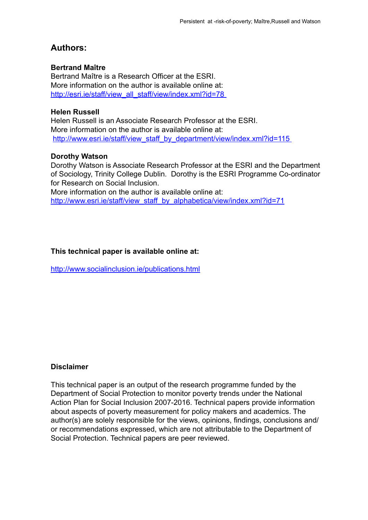#### **Authors:**

#### **Bertrand Maître**

Bertrand Maître is a Research Officer at the ESRI. More information on the author is available online at: http://esri.ie/staff/view\_all\_staff/view/index.xml?id=78

#### **Helen Russell**

Helen Russell is an Associate Research Professor at the ESRI. More information on the author is available online at: http://www.esri.ie/staff/view\_staff\_by\_department/view/index.xml?id=115

#### **Dorothy Watson**

Dorothy Watson is Associate Research Professor at the ESRI and the Department of Sociology, Trinity College Dublin. Dorothy is the ESRI Programme Co-ordinator for Research on Social Inclusion.

More information on the author is available online at: http://www.esri.ie/staff/view\_staff\_by\_alphabetica/view/index.xml?id=71

#### **This technical paper is available online at:**

http://www.socialinclusion.ie/publications.html

#### **Disclaimer**

This technical paper is an output of the research programme funded by the Department of Social Protection to monitor poverty trends under the National Action Plan for Social Inclusion 2007-2016. Technical papers provide information about aspects of poverty measurement for policy makers and academics. The author(s) are solely responsible for the views, opinions, findings, conclusions and/ or recommendations expressed, which are not attributable to the Department of Social Protection. Technical papers are peer reviewed.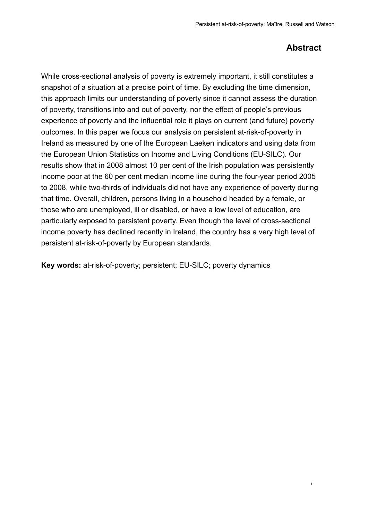#### **Abstract**

<span id="page-3-0"></span> While cross-sectional analysis of poverty is extremely important, it still constitutes a snapshot of a situation at a precise point of time. By excluding the time dimension, this approach limits our understanding of poverty since it cannot assess the duration of poverty, transitions into and out of poverty, nor the effect of people's previous experience of poverty and the influential role it plays on current (and future) poverty outcomes. In this paper we focus our analysis on persistent at-risk-of-poverty in Ireland as measured by one of the European Laeken indicators and using data from the European Union Statistics on Income and Living Conditions (EU-SILC). Our results show that in 2008 almost 10 per cent of the Irish population was persistently income poor at the 60 per cent median income line during the four-year period 2005 to 2008, while two-thirds of individuals did not have any experience of poverty during that time. Overall, children, persons living in a household headed by a female, or those who are unemployed, ill or disabled, or have a low level of education, are particularly exposed to persistent poverty. Even though the level of cross-sectional income poverty has declined recently in Ireland, the country has a very high level of persistent at-risk-of-poverty by European standards.

**Key words:** at-risk-of-poverty; persistent; EU-SILC; poverty dynamics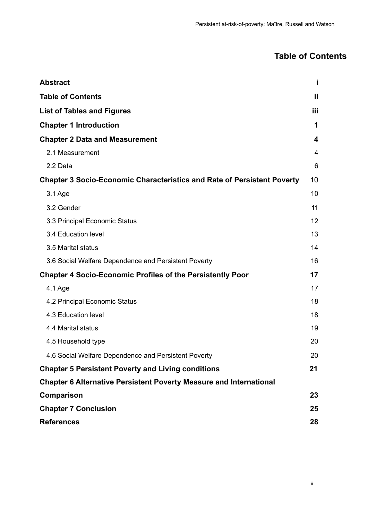## **Table of Contents**

| <b>Abstract</b>                                                                | Î  |
|--------------------------------------------------------------------------------|----|
| <b>Table of Contents</b>                                                       | Ħ  |
| <b>List of Tables and Figures</b>                                              | Ш  |
| <b>Chapter 1 Introduction</b>                                                  | 1  |
| <b>Chapter 2 Data and Measurement</b>                                          | 4  |
| 2.1 Measurement                                                                | 4  |
| 2.2 Data                                                                       | 6  |
| <b>Chapter 3 Socio-Economic Characteristics and Rate of Persistent Poverty</b> | 10 |
| 3.1 Age                                                                        | 10 |
| 3.2 Gender                                                                     | 11 |
| 3.3 Principal Economic Status                                                  | 12 |
| 3.4 Education level                                                            | 13 |
| 3.5 Marital status                                                             | 14 |
| 3.6 Social Welfare Dependence and Persistent Poverty                           | 16 |
| <b>Chapter 4 Socio-Economic Profiles of the Persistently Poor</b>              | 17 |
| 4.1 Age                                                                        | 17 |
| 4.2 Principal Economic Status                                                  | 18 |
| 4.3 Education level                                                            | 18 |
| 4.4 Marital status                                                             | 19 |
| 4.5 Household type                                                             | 20 |
| 4.6 Social Welfare Dependence and Persistent Poverty                           | 20 |
| <b>Chapter 5 Persistent Poverty and Living conditions</b>                      | 21 |
| <b>Chapter 6 Alternative Persistent Poverty Measure and International</b>      |    |
| Comparison                                                                     | 23 |
| <b>Chapter 7 Conclusion</b>                                                    | 25 |
| <b>References</b>                                                              | 28 |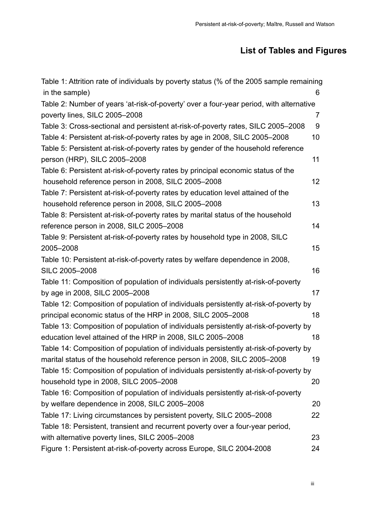## **List of Tables and Figures**

<span id="page-5-0"></span>

| Table 1: Attrition rate of individuals by poverty status (% of the 2005 sample remaining |                |
|------------------------------------------------------------------------------------------|----------------|
| in the sample)                                                                           | 6              |
| Table 2: Number of years 'at-risk-of-poverty' over a four-year period, with alternative  |                |
| poverty lines, SILC 2005-2008                                                            | $\overline{7}$ |
| Table 3: Cross-sectional and persistent at-risk-of-poverty rates, SILC 2005-2008         | 9              |
| Table 4: Persistent at-risk-of-poverty rates by age in 2008, SILC 2005-2008              | 10             |
| Table 5: Persistent at-risk-of-poverty rates by gender of the household reference        |                |
| person (HRP), SILC 2005-2008                                                             | 11             |
| Table 6: Persistent at-risk-of-poverty rates by principal economic status of the         |                |
| household reference person in 2008, SILC 2005-2008                                       | 12             |
| Table 7: Persistent at-risk-of-poverty rates by education level attained of the          |                |
| household reference person in 2008, SILC 2005-2008                                       | 13             |
| Table 8: Persistent at-risk-of-poverty rates by marital status of the household          |                |
| reference person in 2008, SILC 2005-2008                                                 | 14             |
| Table 9: Persistent at-risk-of-poverty rates by household type in 2008, SILC             |                |
| 2005-2008                                                                                | 15             |
| Table 10: Persistent at-risk-of-poverty rates by welfare dependence in 2008,             |                |
| SILC 2005-2008                                                                           | 16             |
| Table 11: Composition of population of individuals persistently at-risk-of-poverty       |                |
| by age in 2008, SILC 2005-2008                                                           | 17             |
| Table 12: Composition of population of individuals persistently at-risk-of-poverty by    |                |
| principal economic status of the HRP in 2008, SILC 2005-2008                             | 18             |
| Table 13: Composition of population of individuals persistently at-risk-of-poverty by    |                |
| education level attained of the HRP in 2008, SILC 2005-2008                              | 18             |
| Table 14: Composition of population of individuals persistently at-risk-of-poverty by    |                |
| marital status of the household reference person in 2008, SILC 2005-2008                 | 19             |
| Table 15: Composition of population of individuals persistently at-risk-of-poverty by    |                |
| household type in 2008, SILC 2005-2008                                                   | 20             |
| Table 16: Composition of population of individuals persistently at-risk-of-poverty       |                |
| by welfare dependence in 2008, SILC 2005-2008                                            | 20             |
| Table 17: Living circumstances by persistent poverty, SILC 2005-2008                     | 22             |
| Table 18: Persistent, transient and recurrent poverty over a four-year period,           |                |
| with alternative poverty lines, SILC 2005-2008                                           | 23             |
| Figure 1: Persistent at-risk-of-poverty across Europe, SILC 2004-2008                    | 24             |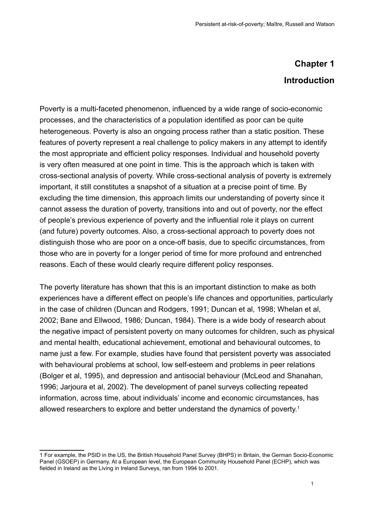# **Chapter 1 Introduction**

Poverty is a multi-faceted phenomenon, influenced by a wide range of socio-economic processes, and the characteristics of a population identified as poor can be quite heterogeneous. Poverty is also an ongoing process rather than a static position. These features of poverty represent a real challenge to policy makers in any attempt to identify the most appropriate and efficient policy responses. Individual and household poverty is very often measured at one point in time. This is the approach which is taken with cross-sectional analysis of poverty. While cross-sectional analysis of poverty is extremely important, it still constitutes a snapshot of a situation at a precise point of time. By excluding the time dimension, this approach limits our understanding of poverty since it cannot assess the duration of poverty, transitions into and out of poverty, nor the effect of people's previous experience of poverty and the influential role it plays on current (and future) poverty outcomes. Also, a cross-sectional approach to poverty does not distinguish those who are poor on a once-off basis, due to specific circumstances, from those who are in poverty for a longer period of time for more profound and entrenched reasons. Each of these would clearly require different policy responses.

The poverty literature has shown that this is an important distinction to make as both experiences have a different effect on people's life chances and opportunities, particularly in the case of children (Duncan and Rodgers, 1991; Duncan et al, 1998; Whelan et al, 2002; Bane and Ellwood, 1986; Duncan, 1984). There is a wide body of research about the negative impact of persistent poverty on many outcomes for children, such as physical and mental health, educational achievement, emotional and behavioural outcomes, to name just a few. For example, studies have found that persistent poverty was associated with behavioural problems at school, low self-esteem and problems in peer relations (Bolger et al, 1995), and depression and antisocial behaviour (McLeod and Shanahan, 1996; Jarjoura et al, 2002). The development of panel surveys collecting repeated information, across time, about individuals' income and economic circumstances, has allowed researchers to explore and better understand the dynamics of poverty.<sup>1</sup>

<sup>1</sup> For example, the PSID in the US, the British Household Panel Survey (BHPS) in Britain, the German Socio-Economic Panel (GSOEP) in Germany. At a European level, the European Community Household Panel (ECHP), which was fielded in Ireland as the Living in Ireland Surveys, ran from 1994 to 2001.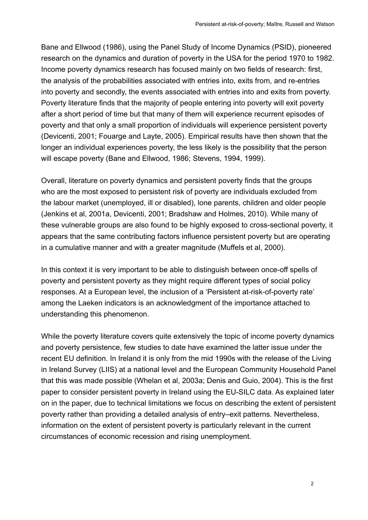Bane and Ellwood (1986), using the Panel Study of Income Dynamics (PSID), pioneered research on the dynamics and duration of poverty in the USA for the period 1970 to 1982. Income poverty dynamics research has focused mainly on two fields of research: first, the analysis of the probabilities associated with entries into, exits from, and re-entries into poverty and secondly, the events associated with entries into and exits from poverty. Poverty literature finds that the majority of people entering into poverty will exit poverty after a short period of time but that many of them will experience recurrent episodes of poverty and that only a small proportion of individuals will experience persistent poverty (Devicenti, 2001; Fouarge and Layte, 2005). Empirical results have then shown that the longer an individual experiences poverty, the less likely is the possibility that the person will escape poverty (Bane and Ellwood, 1986; Stevens, 1994, 1999).

Overall, literature on poverty dynamics and persistent poverty finds that the groups who are the most exposed to persistent risk of poverty are individuals excluded from the labour market (unemployed, ill or disabled), lone parents, children and older people (Jenkins et al, 2001a, Devicenti, 2001; Bradshaw and Holmes, 2010). While many of these vulnerable groups are also found to be highly exposed to cross-sectional poverty, it appears that the same contributing factors influence persistent poverty but are operating in a cumulative manner and with a greater magnitude (Muffels et al, 2000).

In this context it is very important to be able to distinguish between once-off spells of poverty and persistent poverty as they might require different types of social policy responses. At a European level, the inclusion of a 'Persistent at-risk-of-poverty rate' among the Laeken indicators is an acknowledgment of the importance attached to understanding this phenomenon.

While the poverty literature covers quite extensively the topic of income poverty dynamics and poverty persistence, few studies to date have examined the latter issue under the recent EU definition. In Ireland it is only from the mid 1990s with the release of the Living in Ireland Survey (LIIS) at a national level and the European Community Household Panel that this was made possible (Whelan et al, 2003a; Denis and Guio, 2004). This is the first paper to consider persistent poverty in Ireland using the EU-SILC data. As explained later on in the paper, due to technical limitations we focus on describing the extent of persistent poverty rather than providing a detailed analysis of entry–exit patterns. Nevertheless, information on the extent of persistent poverty is particularly relevant in the current circumstances of economic recession and rising unemployment.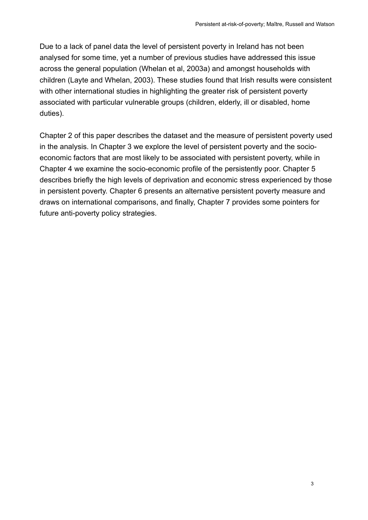Due to a lack of panel data the level of persistent poverty in Ireland has not been analysed for some time, yet a number of previous studies have addressed this issue across the general population (Whelan et al, 2003a) and amongst households with children (Layte and Whelan, 2003). These studies found that Irish results were consistent with other international studies in highlighting the greater risk of persistent poverty associated with particular vulnerable groups (children, elderly, ill or disabled, home duties).

Chapter 2 of this paper describes the dataset and the measure of persistent poverty used in the analysis. In Chapter 3 we explore the level of persistent poverty and the socioeconomic factors that are most likely to be associated with persistent poverty, while in Chapter 4 we examine the socio-economic profile of the persistently poor. Chapter 5 describes briefly the high levels of deprivation and economic stress experienced by those in persistent poverty. Chapter 6 presents an alternative persistent poverty measure and draws on international comparisons, and finally, Chapter 7 provides some pointers for future anti-poverty policy strategies.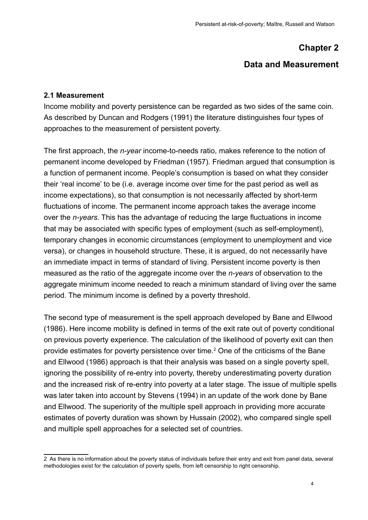#### **Chapter 2**

#### **Data and Measurement**

#### <span id="page-9-0"></span>**2.1 Measurement**

Income mobility and poverty persistence can be regarded as two sides of the same coin. As described by Duncan and Rodgers (1991) the literature distinguishes four types of approaches to the measurement of persistent poverty.

The first approach, the *n-year* income-to-needs ratio, makes reference to the notion of permanent income developed by Friedman (1957). Friedman argued that consumption is a function of permanent income. People's consumption is based on what they consider their 'real income' to be (i.e. average income over time for the past period as well as income expectations), so that consumption is not necessarily affected by short-term fluctuations of income. The permanent income approach takes the average income over the *n-years*. This has the advantage of reducing the large fluctuations in income that may be associated with specific types of employment (such as self-employment), temporary changes in economic circumstances (employment to unemployment and vice versa), or changes in household structure. These, it is argued, do not necessarily have an immediate impact in terms of standard of living. Persistent income poverty is then measured as the ratio of the aggregate income over the *n-years* of observation to the aggregate minimum income needed to reach a minimum standard of living over the same period. The minimum income is defined by a poverty threshold.

The second type of measurement is the spell approach developed by Bane and Ellwood (1986). Here income mobility is defined in terms of the exit rate out of poverty conditional on previous poverty experience. The calculation of the likelihood of poverty exit can then provide estimates for poverty persistence over time.<sup>2</sup> One of the criticisms of the Bane and Ellwood (1986) approach is that their analysis was based on a single poverty spell, ignoring the possibility of re-entry into poverty, thereby underestimating poverty duration and the increased risk of re-entry into poverty at a later stage. The issue of multiple spells was later taken into account by Stevens (1994) in an update of the work done by Bane and Ellwood. The superiority of the multiple spell approach in providing more accurate estimates of poverty duration was shown by Hussain (2002), who compared single spell and multiple spell approaches for a selected set of countries.

<sup>2</sup> As there is no information about the poverty status of individuals before their entry and exit from panel data, several methodologies exist for the calculation of poverty spells, from left censorship to right censorship.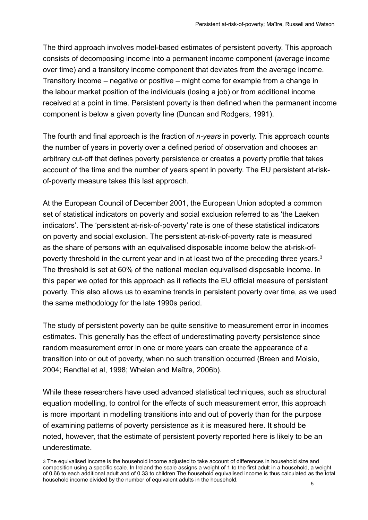The third approach involves model-based estimates of persistent poverty. This approach consists of decomposing income into a permanent income component (average income over time) and a transitory income component that deviates from the average income. Transitory income – negative or positive – might come for example from a change in the labour market position of the individuals (losing a job) or from additional income received at a point in time. Persistent poverty is then defined when the permanent income component is below a given poverty line (Duncan and Rodgers, 1991).

The fourth and final approach is the fraction of *n-years* in poverty. This approach counts the number of years in poverty over a defined period of observation and chooses an arbitrary cut-off that defines poverty persistence or creates a poverty profile that takes account of the time and the number of years spent in poverty. The EU persistent at-riskof-poverty measure takes this last approach.

At the European Council of December 2001, the European Union adopted a common set of statistical indicators on poverty and social exclusion referred to as 'the Laeken indicators'. The 'persistent at-risk-of-poverty' rate is one of these statistical indicators on poverty and social exclusion. The persistent at-risk-of-poverty rate is measured as the share of persons with an equivalised disposable income below the at-risk-ofpoverty threshold in the current year and in at least two of the preceding three years.3 The threshold is set at 60% of the national median equivalised disposable income. In this paper we opted for this approach as it reflects the EU official measure of persistent poverty. This also allows us to examine trends in persistent poverty over time, as we used the same methodology for the late 1990s period.

The study of persistent poverty can be quite sensitive to measurement error in incomes estimates. This generally has the effect of underestimating poverty persistence since random measurement error in one or more years can create the appearance of a transition into or out of poverty, when no such transition occurred (Breen and Moisio, 2004; Rendtel et al, 1998; Whelan and Maître, 2006b).

While these researchers have used advanced statistical techniques, such as structural equation modelling, to control for the effects of such measurement error, this approach is more important in modelling transitions into and out of poverty than for the purpose of examining patterns of poverty persistence as it is measured here. It should be noted, however, that the estimate of persistent poverty reported here is likely to be an underestimate.

<sup>3</sup> The equivalised income is the household income adjusted to take account of differences in household size and composition using a specific scale. In Ireland the scale assigns a weight of 1 to the first adult in a household, a weight of 0.66 to each additional adult and of 0.33 to children The household equivalised income is thus calculated as the total household income divided by the number of equivalent adults in the household.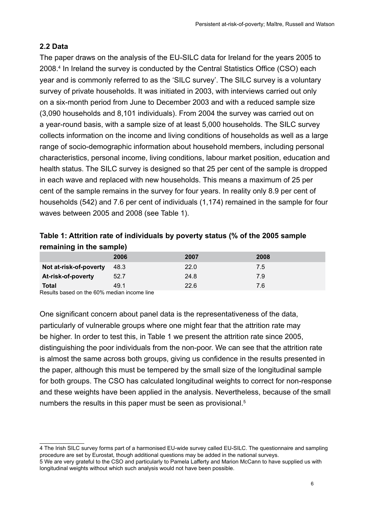#### <span id="page-11-0"></span>**2.2 Data**

The paper draws on the analysis of the EU-SILC data for Ireland for the years 2005 to 2008.4 In Ireland the survey is conducted by the Central Statistics Office (CSO) each year and is commonly referred to as the 'SILC survey'. The SILC survey is a voluntary survey of private households. It was initiated in 2003, with interviews carried out only on a six-month period from June to December 2003 and with a reduced sample size (3,090 households and 8,101 individuals). From 2004 the survey was carried out on a year-round basis, with a sample size of at least 5,000 households. The SILC survey collects information on the income and living conditions of households as well as a large range of socio-demographic information about household members, including personal characteristics, personal income, living conditions, labour market position, education and health status. The SILC survey is designed so that 25 per cent of the sample is dropped in each wave and replaced with new households. This means a maximum of 25 per cent of the sample remains in the survey for four years. In reality only 8.9 per cent of households (542) and 7.6 per cent of individuals (1,174) remained in the sample for four waves between 2005 and 2008 (see Table 1).

#### **Table 1: Attrition rate of individuals by poverty status (% of the 2005 sample remaining in the sample)**

|                                    | 2006                | 2007 | 2008 |
|------------------------------------|---------------------|------|------|
| Not at-risk-of-poverty             | 48.3                | 22.0 | 7.5  |
| At-risk-of-poverty                 | 52.7                | 24.8 | 7.9  |
| <b>Total</b><br>$   -$<br>.<br>___ | 49.1<br>$\sim$<br>. | 22.6 | 7.6  |

Results based on the 60% median income line

One significant concern about panel data is the representativeness of the data, particularly of vulnerable groups where one might fear that the attrition rate may be higher. In order to test this, in Table 1 we present the attrition rate since 2005, distinguishing the poor individuals from the non-poor. We can see that the attrition rate is almost the same across both groups, giving us confidence in the results presented in the paper, although this must be tempered by the small size of the longitudinal sample for both groups. The CSO has calculated longitudinal weights to correct for non-response and these weights have been applied in the analysis. Nevertheless, because of the small numbers the results in this paper must be seen as provisional.<sup>5</sup>

<sup>4</sup> The Irish SILC survey forms part of a harmonised EU-wide survey called EU-SILC. The questionnaire and sampling procedure are set by Eurostat, though additional questions may be added in the national surveys.

<sup>5</sup> We are very grateful to the CSO and particularly to Pamela Lafferty and Marion McCann to have supplied us with longitudinal weights without which such analysis would not have been possible.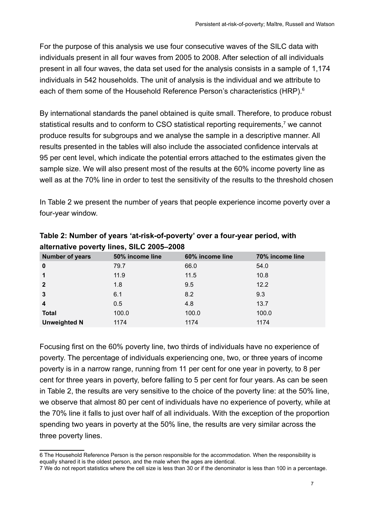<span id="page-12-0"></span>For the purpose of this analysis we use four consecutive waves of the SILC data with individuals present in all four waves from 2005 to 2008. After selection of all individuals present in all four waves, the data set used for the analysis consists in a sample of 1,174 individuals in 542 households. The unit of analysis is the individual and we attribute to each of them some of the Household Reference Person's characteristics (HRP).<sup>6</sup>

By international standards the panel obtained is quite small. Therefore, to produce robust statistical results and to conform to CSO statistical reporting requirements,<sup>7</sup> we cannot produce results for subgroups and we analyse the sample in a descriptive manner. All results presented in the tables will also include the associated confidence intervals at 95 per cent level, which indicate the potential errors attached to the estimates given the sample size. We will also present most of the results at the 60% income poverty line as well as at the 70% line in order to test the sensitivity of the results to the threshold chosen

In Table 2 we present the number of years that people experience income poverty over a four-year window.

| <b>Number of years</b>  | 50% income line | 60% income line | 70% income line |
|-------------------------|-----------------|-----------------|-----------------|
| $\bf{0}$                | 79.7            | 66.0            | 54.0            |
| 1                       | 11.9            | 11.5            | 10.8            |
| $\mathbf{2}$            | 1.8             | 9.5             | 12.2            |
| $\mathbf{3}$            | 6.1             | 8.2             | 9.3             |
| $\overline{\mathbf{4}}$ | 0.5             | 4.8             | 13.7            |
| <b>Total</b>            | 100.0           | 100.0           | 100.0           |
| <b>Unweighted N</b>     | 1174            | 1174            | 1174            |

**Table 2: Number of years 'at-risk-of-poverty' over a four-year period, with alternative poverty lines, SILC 2005–2008**

Focusing first on the 60% poverty line, two thirds of individuals have no experience of poverty. The percentage of individuals experiencing one, two, or three years of income poverty is in a narrow range, running from 11 per cent for one year in poverty, to 8 per cent for three years in poverty, before falling to 5 per cent for four years. As can be seen in Table 2, the results are very sensitive to the choice of the poverty line: at the 50% line, we observe that almost 80 per cent of individuals have no experience of poverty, while at the 70% line it falls to just over half of all individuals. With the exception of the proportion spending two years in poverty at the 50% line, the results are very similar across the three poverty lines.

<sup>6</sup> The Household Reference Person is the person responsible for the accommodation. When the responsibility is equally shared it is the oldest person, and the male when the ages are identical.

<sup>7</sup> We do not report statistics where the cell size is less than 30 or if the denominator is less than 100 in a percentage.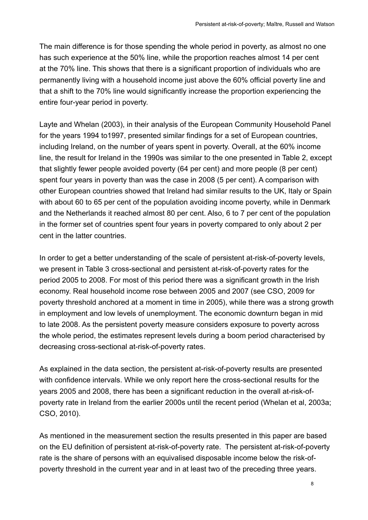The main difference is for those spending the whole period in poverty, as almost no one has such experience at the 50% line, while the proportion reaches almost 14 per cent at the 70% line. This shows that there is a significant proportion of individuals who are permanently living with a household income just above the 60% official poverty line and that a shift to the 70% line would significantly increase the proportion experiencing the entire four-year period in poverty.

Layte and Whelan (2003), in their analysis of the European Community Household Panel for the years 1994 to1997, presented similar findings for a set of European countries, including Ireland, on the number of years spent in poverty. Overall, at the 60% income line, the result for Ireland in the 1990s was similar to the one presented in Table 2, except that slightly fewer people avoided poverty (64 per cent) and more people (8 per cent) spent four years in poverty than was the case in 2008 (5 per cent). A comparison with other European countries showed that Ireland had similar results to the UK, Italy or Spain with about 60 to 65 per cent of the population avoiding income poverty, while in Denmark and the Netherlands it reached almost 80 per cent. Also, 6 to 7 per cent of the population in the former set of countries spent four years in poverty compared to only about 2 per cent in the latter countries.

In order to get a better understanding of the scale of persistent at-risk-of-poverty levels, we present in Table 3 cross-sectional and persistent at-risk-of-poverty rates for the period 2005 to 2008. For most of this period there was a significant growth in the Irish economy. Real household income rose between 2005 and 2007 (see CSO, 2009 for poverty threshold anchored at a moment in time in 2005), while there was a strong growth in employment and low levels of unemployment. The economic downturn began in mid to late 2008. As the persistent poverty measure considers exposure to poverty across the whole period, the estimates represent levels during a boom period characterised by decreasing cross-sectional at-risk-of-poverty rates.

As explained in the data section, the persistent at-risk-of-poverty results are presented with confidence intervals. While we only report here the cross-sectional results for the years 2005 and 2008, there has been a significant reduction in the overall at-risk-ofpoverty rate in Ireland from the earlier 2000s until the recent period (Whelan et al, 2003a; CSO, 2010).

As mentioned in the measurement section the results presented in this paper are based on the EU definition of persistent at-risk-of-poverty rate. The persistent at-risk-of-poverty rate is the share of persons with an equivalised disposable income below the risk-ofpoverty threshold in the current year and in at least two of the preceding three years.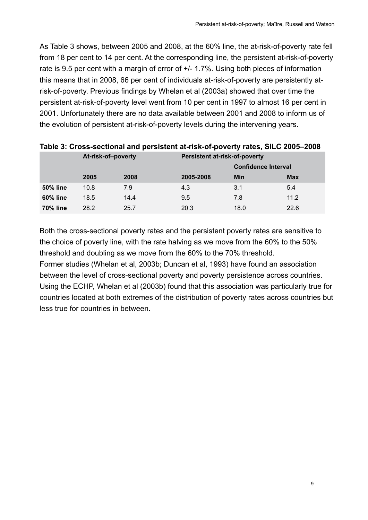<span id="page-14-0"></span>As Table 3 shows, between 2005 and 2008, at the 60% line, the at-risk-of-poverty rate fell from 18 per cent to 14 per cent. At the corresponding line, the persistent at-risk-of-poverty rate is 9.5 per cent with a margin of error of +/- 1.7%. Using both pieces of information this means that in 2008, 66 per cent of individuals at-risk-of-poverty are persistently atrisk-of-poverty. Previous findings by Whelan et al (2003a) showed that over time the persistent at-risk-of-poverty level went from 10 per cent in 1997 to almost 16 per cent in 2001. Unfortunately there are no data available between 2001 and 2008 to inform us of the evolution of persistent at-risk-of-poverty levels during the intervening years.

|                 | At-risk-of-poverty |      | <b>Persistent at-risk-of-poverty</b> |                            |            |  |  |
|-----------------|--------------------|------|--------------------------------------|----------------------------|------------|--|--|
|                 |                    |      |                                      | <b>Confidence Interval</b> |            |  |  |
|                 | 2005               | 2008 | 2005-2008                            | Min                        | <b>Max</b> |  |  |
| <b>50% line</b> | 10.8               | 7.9  | 4.3                                  | 3.1                        | 5.4        |  |  |
| <b>60% line</b> | 18.5               | 14.4 | 9.5                                  | 7.8                        | 11.2       |  |  |
| <b>70% line</b> | 28.2               | 25.7 | 20.3                                 | 18.0                       | 22.6       |  |  |

#### **Table 3: Cross-sectional and persistent at-risk-of-poverty rates, SILC 2005–2008**

Both the cross-sectional poverty rates and the persistent poverty rates are sensitive to the choice of poverty line, with the rate halving as we move from the 60% to the 50% threshold and doubling as we move from the 60% to the 70% threshold.

Former studies (Whelan et al, 2003b; Duncan et al, 1993) have found an association between the level of cross-sectional poverty and poverty persistence across countries. Using the ECHP, Whelan et al (2003b) found that this association was particularly true for countries located at both extremes of the distribution of poverty rates across countries but less true for countries in between.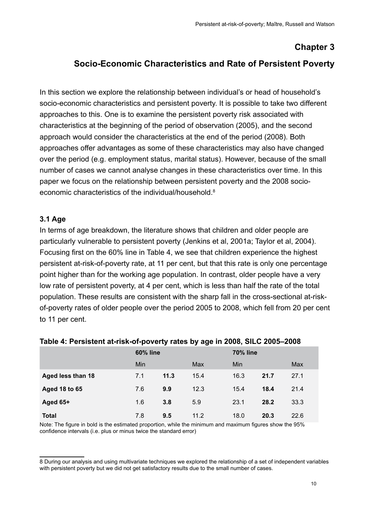## **Chapter 3**

#### <span id="page-15-0"></span>**Socio-Economic Characteristics and Rate of Persistent Poverty**

In this section we explore the relationship between individual's or head of household's socio-economic characteristics and persistent poverty. It is possible to take two different approaches to this. One is to examine the persistent poverty risk associated with characteristics at the beginning of the period of observation (2005), and the second approach would consider the characteristics at the end of the period (2008). Both approaches offer advantages as some of these characteristics may also have changed over the period (e.g. employment status, marital status). However, because of the small number of cases we cannot analyse changes in these characteristics over time. In this paper we focus on the relationship between persistent poverty and the 2008 socioeconomic characteristics of the individual/household.8

#### **3.1 Age**

In terms of age breakdown, the literature shows that children and older people are particularly vulnerable to persistent poverty (Jenkins et al, 2001a; Taylor et al, 2004). Focusing first on the 60% line in Table 4, we see that children experience the highest persistent at-risk-of-poverty rate, at 11 per cent, but that this rate is only one percentage point higher than for the working age population. In contrast, older people have a very low rate of persistent poverty, at 4 per cent, which is less than half the rate of the total population. These results are consistent with the sharp fall in the cross-sectional at-riskof-poverty rates of older people over the period 2005 to 2008, which fell from 20 per cent to 11 per cent.

|                      | <b>60% line</b> |      |      | <b>70% line</b> |      |      |  |
|----------------------|-----------------|------|------|-----------------|------|------|--|
|                      | Min             |      | Max  | Min             |      | Max  |  |
| Aged less than 18    | 7.1             | 11.3 | 15.4 | 16.3            | 21.7 | 27.1 |  |
| <b>Aged 18 to 65</b> | 7.6             | 9.9  | 12.3 | 15.4            | 18.4 | 21.4 |  |
| Aged 65+             | 1.6             | 3.8  | 5.9  | 23.1            | 28.2 | 33.3 |  |
| <b>Total</b>         | 7.8             | 9.5  | 11.2 | 18.0            | 20.3 | 22.6 |  |

#### **Table 4: Persistent at-risk-of-poverty rates by age in 2008, SILC 2005–2008**

Note: The figure in bold is the estimated proportion, while the minimum and maximum figures show the 95% confidence intervals (i.e. plus or minus twice the standard error)

<sup>8</sup> During our analysis and using multivariate techniques we explored the relationship of a set of independent variables with persistent poverty but we did not get satisfactory results due to the small number of cases.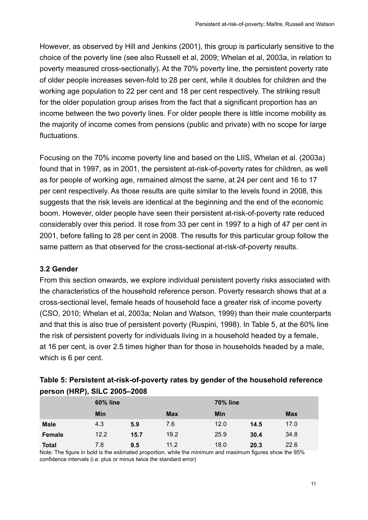<span id="page-16-0"></span>However, as observed by Hill and Jenkins (2001), this group is particularly sensitive to the choice of the poverty line (see also Russell et al, 2009; Whelan et al, 2003a, in relation to poverty measured cross-sectionally). At the 70% poverty line, the persistent poverty rate of older people increases seven-fold to 28 per cent, while it doubles for children and the working age population to 22 per cent and 18 per cent respectively. The striking result for the older population group arises from the fact that a significant proportion has an income between the two poverty lines. For older people there is little income mobility as the majority of income comes from pensions (public and private) with no scope for large fluctuations.

Focusing on the 70% income poverty line and based on the LIIS, Whelan et al. (2003a) found that in 1997, as in 2001, the persistent at-risk-of-poverty rates for children, as well as for people of working age, remained almost the same, at 24 per cent and 16 to 17 per cent respectively. As those results are quite similar to the levels found in 2008, this suggests that the risk levels are identical at the beginning and the end of the economic boom. However, older people have seen their persistent at-risk-of-poverty rate reduced considerably over this period. It rose from 33 per cent in 1997 to a high of 47 per cent in 2001, before falling to 28 per cent in 2008. The results for this particular group follow the same pattern as that observed for the cross-sectional at-risk-of-poverty results.

#### **3.2 Gender**

From this section onwards, we explore individual persistent poverty risks associated with the characteristics of the household reference person. Poverty research shows that at a cross-sectional level, female heads of household face a greater risk of income poverty (CSO, 2010; Whelan et al, 2003a; Nolan and Watson, 1999) than their male counterparts and that this is also true of persistent poverty (Ruspini, 1998). In Table 5, at the 60% line the risk of persistent poverty for individuals living in a household headed by a female, at 16 per cent, is over 2.5 times higher than for those in households headed by a male, which is 6 per cent.

| POISON (THAT ), SILS LOOD LOOD |      |                 |            |      |                 |            |  |  |
|--------------------------------|------|-----------------|------------|------|-----------------|------------|--|--|
|                                |      | <b>60% line</b> |            |      | <b>70% line</b> |            |  |  |
|                                | Min  |                 | <b>Max</b> | Min  |                 | <b>Max</b> |  |  |
| <b>Male</b>                    | 4.3  | 5.9             | 7.6        | 12.0 | 14.5            | 17.0       |  |  |
| Female                         | 12.2 | 15.7            | 19.2       | 25.9 | 30.4            | 34.8       |  |  |
| Total                          | 7.8  | 9.5             | 11.2       | 18.0 | 20.3            | 22.6       |  |  |

| Table 5: Persistent at-risk-of-poverty rates by gender of the household reference |
|-----------------------------------------------------------------------------------|
| person (HRP), SILC 2005-2008                                                      |

Note: The figure in bold is the estimated proportion, while the minimum and maximum figures show the 95% confidence intervals (i.e. plus or minus twice the standard error)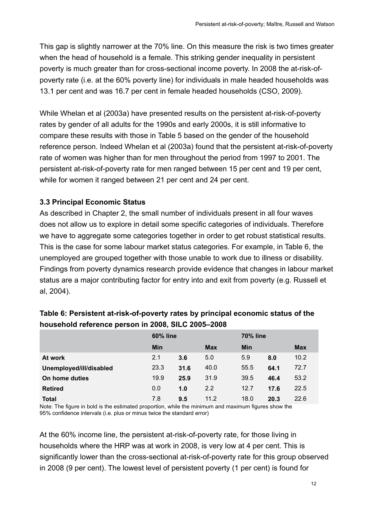<span id="page-17-0"></span>This gap is slightly narrower at the 70% line. On this measure the risk is two times greater when the head of household is a female. This striking gender inequality in persistent poverty is much greater than for cross-sectional income poverty. In 2008 the at-risk-ofpoverty rate (i.e. at the 60% poverty line) for individuals in male headed households was 13.1 per cent and was 16.7 per cent in female headed households (CSO, 2009).

While Whelan et al (2003a) have presented results on the persistent at-risk-of-poverty rates by gender of all adults for the 1990s and early 2000s, it is still informative to compare these results with those in Table 5 based on the gender of the household reference person. Indeed Whelan et al (2003a) found that the persistent at-risk-of-poverty rate of women was higher than for men throughout the period from 1997 to 2001. The persistent at-risk-of-poverty rate for men ranged between 15 per cent and 19 per cent, while for women it ranged between 21 per cent and 24 per cent.

#### **3.3 Principal Economic Status**

As described in Chapter 2, the small number of individuals present in all four waves does not allow us to explore in detail some specific categories of individuals. Therefore we have to aggregate some categories together in order to get robust statistical results. This is the case for some labour market status categories. For example, in Table 6, the unemployed are grouped together with those unable to work due to illness or disability. Findings from poverty dynamics research provide evidence that changes in labour market status are a major contributing factor for entry into and exit from poverty (e.g. Russell et al, 2004).

|                         | <b>60% line</b> |      |            | <b>70% line</b> |      |            |
|-------------------------|-----------------|------|------------|-----------------|------|------------|
|                         | Min             |      | <b>Max</b> | Min             |      | <b>Max</b> |
| At work                 | 2.1             | 3.6  | 5.0        | 5.9             | 8.0  | 10.2       |
| Unemployed/ill/disabled | 23.3            | 31.6 | 40.0       | 55.5            | 64.1 | 72.7       |
| On home duties          | 19.9            | 25.9 | 31.9       | 39.5            | 46.4 | 53.2       |
| <b>Retired</b>          | 0.0             | 1.0  | 2.2        | 12.7            | 17.6 | 22.5       |
| Total                   | 7.8             | 9.5  | 11.2       | 18.0            | 20.3 | 22.6       |

#### **Table 6: Persistent at-risk-of-poverty rates by principal economic status of the household reference person in 2008, SILC 2005–2008**

Note: The figure in bold is the estimated proportion, while the minimum and maximum figures show the 95% confidence intervals (i.e. plus or minus twice the standard error)

At the 60% income line, the persistent at-risk-of-poverty rate, for those living in households where the HRP was at work in 2008, is very low at 4 per cent. This is significantly lower than the cross-sectional at-risk-of-poverty rate for this group observed in 2008 (9 per cent). The lowest level of persistent poverty (1 per cent) is found for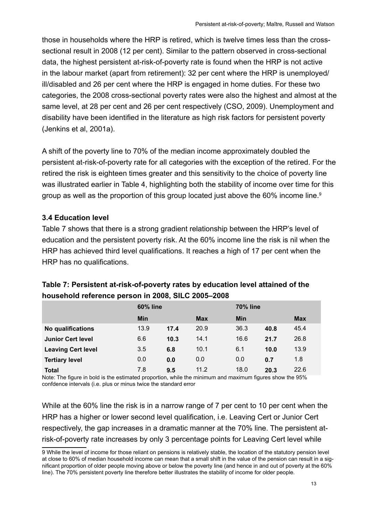<span id="page-18-0"></span>those in households where the HRP is retired, which is twelve times less than the crosssectional result in 2008 (12 per cent). Similar to the pattern observed in cross-sectional data, the highest persistent at-risk-of-poverty rate is found when the HRP is not active in the labour market (apart from retirement): 32 per cent where the HRP is unemployed/ ill/disabled and 26 per cent where the HRP is engaged in home duties. For these two categories, the 2008 cross-sectional poverty rates were also the highest and almost at the same level, at 28 per cent and 26 per cent respectively (CSO, 2009). Unemployment and disability have been identified in the literature as high risk factors for persistent poverty (Jenkins et al, 2001a).

A shift of the poverty line to 70% of the median income approximately doubled the persistent at-risk-of-poverty rate for all categories with the exception of the retired. For the retired the risk is eighteen times greater and this sensitivity to the choice of poverty line was illustrated earlier in Table 4, highlighting both the stability of income over time for this group as well as the proportion of this group located just above the 60% income line.<sup>9</sup>

#### **3.4 Education level**

Table 7 shows that there is a strong gradient relationship between the HRP's level of education and the persistent poverty risk. At the 60% income line the risk is nil when the HRP has achieved third level qualifications. It reaches a high of 17 per cent when the HRP has no qualifications.

|                           | <b>60% line</b> |      |            | <b>70% line</b> |      |            |
|---------------------------|-----------------|------|------------|-----------------|------|------------|
|                           | <b>Min</b>      |      | <b>Max</b> | <b>Min</b>      |      | <b>Max</b> |
| No qualifications         | 13.9            | 17.4 | 20.9       | 36.3            | 40.8 | 45.4       |
| <b>Junior Cert level</b>  | 6.6             | 10.3 | 14.1       | 16.6            | 21.7 | 26.8       |
| <b>Leaving Cert level</b> | 3.5             | 6.8  | 10.1       | 6.1             | 10.0 | 13.9       |
| <b>Tertiary level</b>     | 0.0             | 0.0  | 0.0        | 0.0             | 0.7  | 1.8        |
| <b>Total</b>              | 7.8             | 9.5  | 11.2       | 18.0            | 20.3 | 22.6       |

#### **Table 7: Persistent at-risk-of-poverty rates by education level attained of the household reference person in 2008, SILC 2005–2008**

Note: The figure in bold is the estimated proportion, while the minimum and maximum figures show the 95% confdence intervals (i.e. plus or minus twice the standard error

While at the 60% line the risk is in a narrow range of 7 per cent to 10 per cent when the HRP has a higher or lower second level qualification, i.e. Leaving Cert or Junior Cert respectively, the gap increases in a dramatic manner at the 70% line. The persistent atrisk-of-poverty rate increases by only 3 percentage points for Leaving Cert level while

<sup>9</sup> While the level of income for those reliant on pensions is relatively stable, the location of the statutory pension level at close to 60% of median household income can mean that a small shift in the value of the pension can result in a significant proportion of older people moving above or below the poverty line (and hence in and out of poverty at the 60% line). The 70% persistent poverty line therefore better illustrates the stability of income for older people.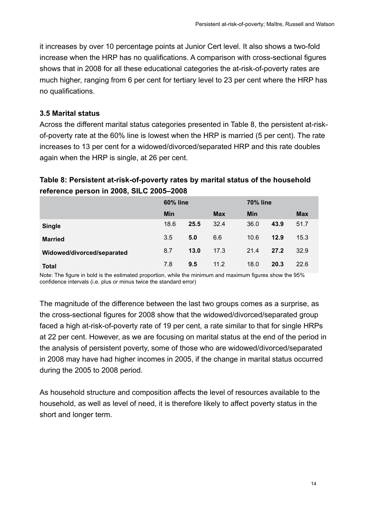<span id="page-19-0"></span>it increases by over 10 percentage points at Junior Cert level. It also shows a two-fold increase when the HRP has no qualifications. A comparison with cross-sectional figures shows that in 2008 for all these educational categories the at-risk-of-poverty rates are much higher, ranging from 6 per cent for tertiary level to 23 per cent where the HRP has no qualifications.

#### **3.5 Marital status**

Across the different marital status categories presented in Table 8, the persistent at-riskof-poverty rate at the 60% line is lowest when the HRP is married (5 per cent). The rate increases to 13 per cent for a widowed/divorced/separated HRP and this rate doubles again when the HRP is single, at 26 per cent.

#### **Table 8: Persistent at-risk-of-poverty rates by marital status of the household reference person in 2008, SILC 2005–2008**

|                            | <b>60% line</b> |      |            | <b>70% line</b> |      |            |
|----------------------------|-----------------|------|------------|-----------------|------|------------|
|                            | Min             |      | <b>Max</b> | <b>Min</b>      |      | <b>Max</b> |
| <b>Single</b>              | 18.6            | 25.5 | 32.4       | 36.0            | 43.9 | 51.7       |
| <b>Married</b>             | 3.5             | 5.0  | 6.6        | 10.6            | 12.9 | 15.3       |
| Widowed/divorced/separated | 8.7             | 13.0 | 17.3       | 21.4            | 27.2 | 32.9       |
| Total                      | 7.8             | 9.5  | 11.2       | 18.0            | 20.3 | 22.6       |

Note: The figure in bold is the estimated proportion, while the minimum and maximum figures show the 95% confidence intervals (i.e. plus or minus twice the standard error)

The magnitude of the difference between the last two groups comes as a surprise, as the cross-sectional figures for 2008 show that the widowed/divorced/separated group faced a high at-risk-of-poverty rate of 19 per cent, a rate similar to that for single HRPs at 22 per cent. However, as we are focusing on marital status at the end of the period in the analysis of persistent poverty, some of those who are widowed/divorced/separated in 2008 may have had higher incomes in 2005, if the change in marital status occurred during the 2005 to 2008 period.

As household structure and composition affects the level of resources available to the household, as well as level of need, it is therefore likely to affect poverty status in the short and longer term.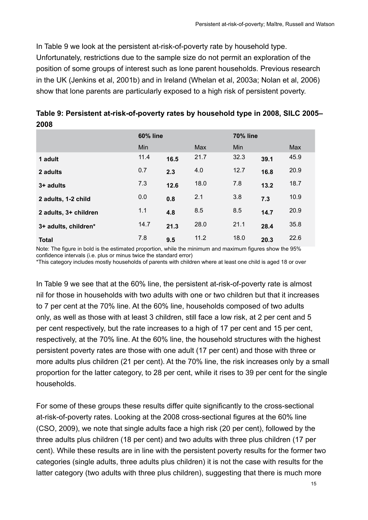<span id="page-20-0"></span>In Table 9 we look at the persistent at-risk-of-poverty rate by household type. Unfortunately, restrictions due to the sample size do not permit an exploration of the position of some groups of interest such as lone parent households. Previous research in the UK (Jenkins et al, 2001b) and in Ireland (Whelan et al, 2003a; Nolan et al, 2006) show that lone parents are particularly exposed to a high risk of persistent poverty.

| ZUUO                  |                 |      |      |                 |      |      |  |
|-----------------------|-----------------|------|------|-----------------|------|------|--|
|                       | <b>60% line</b> |      |      | <b>70% line</b> |      |      |  |
|                       | Min             |      | Max  | Min             |      | Max  |  |
| 1 adult               | 11.4            | 16.5 | 21.7 | 32.3            | 39.1 | 45.9 |  |
| 2 adults              | 0.7             | 2.3  | 4.0  | 12.7            | 16.8 | 20.9 |  |
| $3+$ adults           | 7.3             | 12.6 | 18.0 | 7.8             | 13.2 | 18.7 |  |
| 2 adults, 1-2 child   | 0.0             | 0.8  | 2.1  | 3.8             | 7.3  | 10.9 |  |
| 2 adults, 3+ children | 1.1             | 4.8  | 8.5  | 8.5             | 14.7 | 20.9 |  |
| 3+ adults, children*  | 14.7            | 21.3 | 28.0 | 21.1            | 28.4 | 35.8 |  |
| <b>Total</b>          | 7.8             | 9.5  | 11.2 | 18.0            | 20.3 | 22.6 |  |

**Table 9: Persistent at-risk-of-poverty rates by household type in 2008, SILC 2005– 2008**

Note: The figure in bold is the estimated proportion, while the minimum and maximum figures show the 95% confidence intervals (i.e. plus or minus twice the standard error)

\*This category includes mostly households of parents with children where at least one child is aged 18 or over

In Table 9 we see that at the 60% line, the persistent at-risk-of-poverty rate is almost nil for those in households with two adults with one or two children but that it increases to 7 per cent at the 70% line. At the 60% line, households composed of two adults only, as well as those with at least 3 children, still face a low risk, at 2 per cent and 5 per cent respectively, but the rate increases to a high of 17 per cent and 15 per cent, respectively, at the 70% line. At the 60% line, the household structures with the highest persistent poverty rates are those with one adult (17 per cent) and those with three or more adults plus children (21 per cent). At the 70% line, the risk increases only by a small proportion for the latter category, to 28 per cent, while it rises to 39 per cent for the single households.

For some of these groups these results differ quite significantly to the cross-sectional at-risk-of-poverty rates. Looking at the 2008 cross-sectional figures at the 60% line (CSO, 2009), we note that single adults face a high risk (20 per cent), followed by the three adults plus children (18 per cent) and two adults with three plus children (17 per cent). While these results are in line with the persistent poverty results for the former two categories (single adults, three adults plus children) it is not the case with results for the latter category (two adults with three plus children), suggesting that there is much more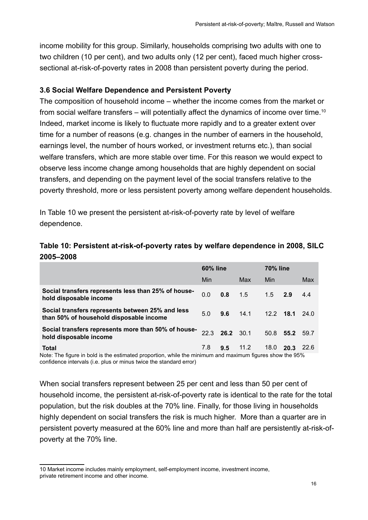<span id="page-21-0"></span>income mobility for this group. Similarly, households comprising two adults with one to two children (10 per cent), and two adults only (12 per cent), faced much higher crosssectional at-risk-of-poverty rates in 2008 than persistent poverty during the period.

#### **3.6 Social Welfare Dependence and Persistent Poverty**

The composition of household income – whether the income comes from the market or from social welfare transfers – will potentially affect the dynamics of income over time.<sup>10</sup> Indeed, market income is likely to fluctuate more rapidly and to a greater extent over time for a number of reasons (e.g. changes in the number of earners in the household, earnings level, the number of hours worked, or investment returns etc.), than social welfare transfers, which are more stable over time. For this reason we would expect to observe less income change among households that are highly dependent on social transfers, and depending on the payment level of the social transfers relative to the poverty threshold, more or less persistent poverty among welfare dependent households.

In Table 10 we present the persistent at-risk-of-poverty rate by level of welfare dependence.

#### **Table 10: Persistent at-risk-of-poverty rates by welfare dependence in 2008, SILC 2005–2008**

|                                                                                                                          | <b>60% line</b> |           |      | <b>70% line</b> |      |             |
|--------------------------------------------------------------------------------------------------------------------------|-----------------|-----------|------|-----------------|------|-------------|
|                                                                                                                          | Min             |           | Max  | Min             |      | Max         |
| Social transfers represents less than 25% of house-<br>hold disposable income                                            | 0.0             | 0.8       | 1.5  | 1.5             | 2.9  | 4.4         |
| Social transfers represents between 25% and less<br>than 50% of household disposable income                              | 5.0             | 9.6       | 14.1 | $12.2$ 18.1     |      | 24.0        |
| Social transfers represents more than 50% of house-<br>hold disposable income                                            | 22.3            | 26.2 30.1 |      | 50.8            | 55.2 | 59.7        |
| <b>Total</b><br>Note: The figure in bold is the estimated proportion, while the minimum and maximum figures show the 95% | 7.8             | 9.5       | 11.2 | 18.0            | 20.3 | <b>22.6</b> |

Note: The figure in bold is the estimated proportion, while the minimum and maximum figures show the 95% confidence intervals (i.e. plus or minus twice the standard error)

When social transfers represent between 25 per cent and less than 50 per cent of household income, the persistent at-risk-of-poverty rate is identical to the rate for the total population, but the risk doubles at the 70% line. Finally, for those living in households highly dependent on social transfers the risk is much higher. More than a quarter are in persistent poverty measured at the 60% line and more than half are persistently at-risk-ofpoverty at the 70% line.

<sup>10</sup> Market income includes mainly employment, self-employment income, investment income, private retirement income and other income.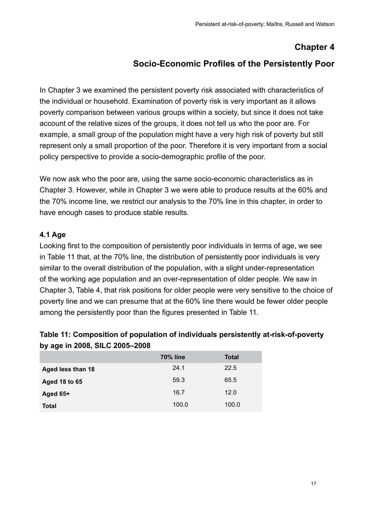### **Chapter 4**

#### **Socio-Economic Profiles of the Persistently Poor**

<span id="page-22-0"></span>In Chapter 3 we examined the persistent poverty risk associated with characteristics of the individual or household. Examination of poverty risk is very important as it allows poverty comparison between various groups within a society, but since it does not take account of the relative sizes of the groups, it does not tell us who the poor are. For example, a small group of the population might have a very high risk of poverty but still represent only a small proportion of the poor. Therefore it is very important from a social policy perspective to provide a socio-demographic profile of the poor.

We now ask who the poor are, using the same socio-economic characteristics as in Chapter 3. However, while in Chapter 3 we were able to produce results at the 60% and the 70% income line, we restrict our analysis to the 70% line in this chapter, in order to have enough cases to produce stable results.

#### **4.1 Age**

Looking first to the composition of persistently poor individuals in terms of age, we see in Table 11 that, at the 70% line, the distribution of persistently poor individuals is very similar to the overall distribution of the population, with a slight under-representation of the working age population and an over-representation of older people. We saw in Chapter 3, Table 4, that risk positions for older people were very sensitive to the choice of poverty line and we can presume that at the 60% line there would be fewer older people among the persistently poor than the figures presented in Table 11.

#### **Table 11: Composition of population of individuals persistently at-risk-of-poverty by age in 2008, SILC 2005–2008**

|                   | <b>70% line</b> | <b>Total</b> |
|-------------------|-----------------|--------------|
| Aged less than 18 | 24.1            | 22.5         |
| Aged 18 to 65     | 59.3            | 65.5         |
| Aged 65+          | 16.7            | 12.0         |
| <b>Total</b>      | 100.0           | 100.0        |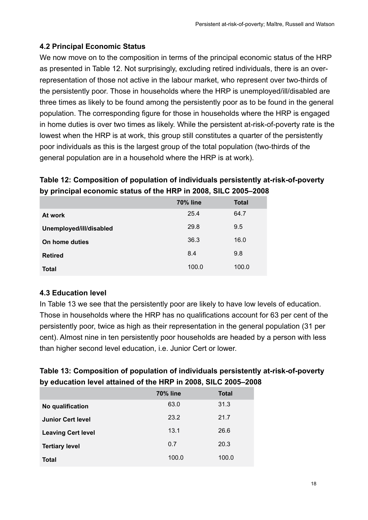#### <span id="page-23-0"></span>**4.2 Principal Economic Status**

We now move on to the composition in terms of the principal economic status of the HRP as presented in Table 12. Not surprisingly, excluding retired individuals, there is an overrepresentation of those not active in the labour market, who represent over two-thirds of the persistently poor. Those in households where the HRP is unemployed/ill/disabled are three times as likely to be found among the persistently poor as to be found in the general population. The corresponding figure for those in households where the HRP is engaged in home duties is over two times as likely. While the persistent at-risk-of-poverty rate is the lowest when the HRP is at work, this group still constitutes a quarter of the persistently poor individuals as this is the largest group of the total population (two-thirds of the general population are in a household where the HRP is at work).

#### **Table 12: Composition of population of individuals persistently at-risk-of-poverty by principal economic status of the HRP in 2008, SILC 2005–2008**

|                         | <b>70% line</b> | <b>Total</b> |
|-------------------------|-----------------|--------------|
| At work                 | 25.4            | 64.7         |
| Unemployed/ill/disabled | 29.8            | 9.5          |
| On home duties          | 36.3            | 16.0         |
| <b>Retired</b>          | 8.4             | 9.8          |
| Total                   | 100.0           | 100.0        |

#### **4.3 Education level**

In Table 13 we see that the persistently poor are likely to have low levels of education. Those in households where the HRP has no qualifications account for 63 per cent of the persistently poor, twice as high as their representation in the general population (31 per cent). Almost nine in ten persistently poor households are headed by a person with less than higher second level education, i.e. Junior Cert or lower.

#### **Table 13: Composition of population of individuals persistently at-risk-of-poverty by education level attained of the HRP in 2008, SILC 2005–2008**

|                           | <b>70% line</b> | <b>Total</b> |
|---------------------------|-----------------|--------------|
| No qualification          | 63.0            | 31.3         |
| <b>Junior Cert level</b>  | 23.2            | 21.7         |
| <b>Leaving Cert level</b> | 13.1            | 26.6         |
| <b>Tertiary level</b>     | 0.7             | 20.3         |
| Total                     | 100.0           | 100.0        |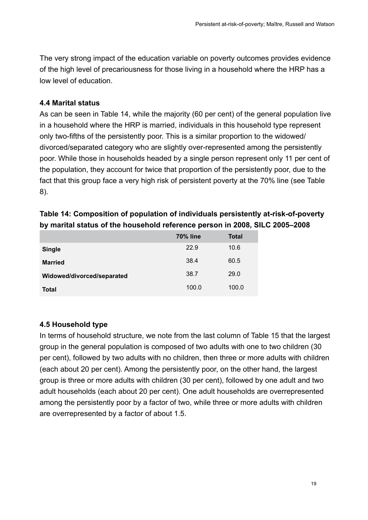<span id="page-24-0"></span>The very strong impact of the education variable on poverty outcomes provides evidence of the high level of precariousness for those living in a household where the HRP has a low level of education.

#### **4.4 Marital status**

As can be seen in Table 14, while the majority (60 per cent) of the general population live in a household where the HRP is married, individuals in this household type represent only two-fifths of the persistently poor. This is a similar proportion to the widowed/ divorced/separated category who are slightly over-represented among the persistently poor. While those in households headed by a single person represent only 11 per cent of the population, they account for twice that proportion of the persistently poor, due to the fact that this group face a very high risk of persistent poverty at the 70% line (see Table 8).

|                            | <b>70% line</b> | <b>Total</b> |
|----------------------------|-----------------|--------------|
| <b>Single</b>              | 22.9            | 10.6         |
| <b>Married</b>             | 38.4            | 60.5         |
| Widowed/divorced/separated | 38.7            | 29.0         |
| <b>Total</b>               | 100.0           | 100.0        |

#### **Table 14: Composition of population of individuals persistently at-risk-of-poverty by marital status of the household reference person in 2008, SILC 2005–2008**

#### **4.5 Household type**

In terms of household structure, we note from the last column of Table 15 that the largest group in the general population is composed of two adults with one to two children (30 per cent), followed by two adults with no children, then three or more adults with children (each about 20 per cent). Among the persistently poor, on the other hand, the largest group is three or more adults with children (30 per cent), followed by one adult and two adult households (each about 20 per cent). One adult households are overrepresented among the persistently poor by a factor of two, while three or more adults with children are overrepresented by a factor of about 1.5.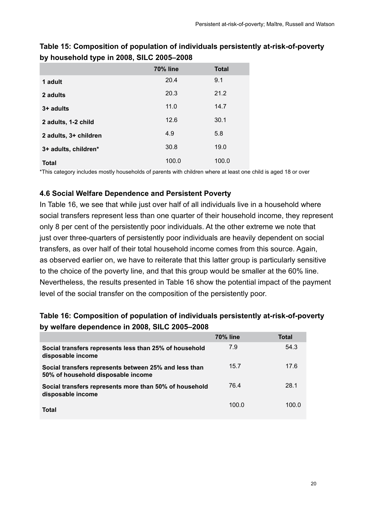|                       | <b>70% line</b> | <b>Total</b> |  |
|-----------------------|-----------------|--------------|--|
| 1 adult               | 20.4            | 9.1          |  |
| 2 adults              | 20.3            | 21.2         |  |
| 3+ adults             | 11.0            | 14.7         |  |
| 2 adults, 1-2 child   | 12.6            | 30.1         |  |
| 2 adults, 3+ children | 4.9             | 5.8          |  |
| 3+ adults, children*  | 30.8            | 19.0         |  |
| <b>Total</b>          | 100.0           | 100.0        |  |

#### <span id="page-25-0"></span>**Table 15: Composition of population of individuals persistently at-risk-of-poverty by household type in 2008, SILC 2005–2008**

\*This category includes mostly households of parents with children where at least one child is aged 18 or over

#### **4.6 Social Welfare Dependence and Persistent Poverty**

In Table 16, we see that while just over half of all individuals live in a household where social transfers represent less than one quarter of their household income, they represent only 8 per cent of the persistently poor individuals. At the other extreme we note that just over three-quarters of persistently poor individuals are heavily dependent on social transfers, as over half of their total household income comes from this source. Again, as observed earlier on, we have to reiterate that this latter group is particularly sensitive to the choice of the poverty line, and that this group would be smaller at the 60% line. Nevertheless, the results presented in Table 16 show the potential impact of the payment level of the social transfer on the composition of the persistently poor.

#### **Table 16: Composition of population of individuals persistently at-risk-of-poverty by welfare dependence in 2008, SILC 2005–2008**

|                                                                                             | <b>70% line</b> | Total |
|---------------------------------------------------------------------------------------------|-----------------|-------|
| Social transfers represents less than 25% of household<br>disposable income                 | 7.9             | 54.3  |
| Social transfers represents between 25% and less than<br>50% of household disposable income | 15.7            | 17.6  |
| Social transfers represents more than 50% of household<br>disposable income                 | 76.4            | 28.1  |
| Total                                                                                       | 100.0           | 100.0 |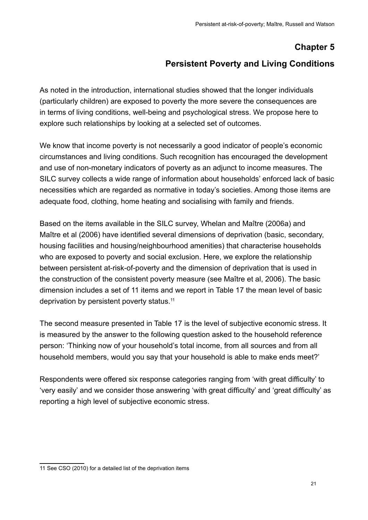#### **Chapter 5**

#### **Persistent Poverty and Living Conditions**

<span id="page-26-0"></span>As noted in the introduction, international studies showed that the longer individuals (particularly children) are exposed to poverty the more severe the consequences are in terms of living conditions, well-being and psychological stress. We propose here to explore such relationships by looking at a selected set of outcomes.

We know that income poverty is not necessarily a good indicator of people's economic circumstances and living conditions. Such recognition has encouraged the development and use of non-monetary indicators of poverty as an adjunct to income measures. The SILC survey collects a wide range of information about households' enforced lack of basic necessities which are regarded as normative in today's societies. Among those items are adequate food, clothing, home heating and socialising with family and friends.

Based on the items available in the SILC survey, Whelan and Maître (2006a) and Maître et al (2006) have identified several dimensions of deprivation (basic, secondary, housing facilities and housing/neighbourhood amenities) that characterise households who are exposed to poverty and social exclusion. Here, we explore the relationship between persistent at-risk-of-poverty and the dimension of deprivation that is used in the construction of the consistent poverty measure (see Maître et al, 2006). The basic dimension includes a set of 11 items and we report in Table 17 the mean level of basic deprivation by persistent poverty status.11

The second measure presented in Table 17 is the level of subjective economic stress. It is measured by the answer to the following question asked to the household reference person: 'Thinking now of your household's total income, from all sources and from all household members, would you say that your household is able to make ends meet?'

Respondents were offered six response categories ranging from 'with great difficulty' to 'very easily' and we consider those answering 'with great difficulty' and 'great difficulty' as reporting a high level of subjective economic stress.

<sup>11</sup> See CSO (2010) for a detailed list of the deprivation items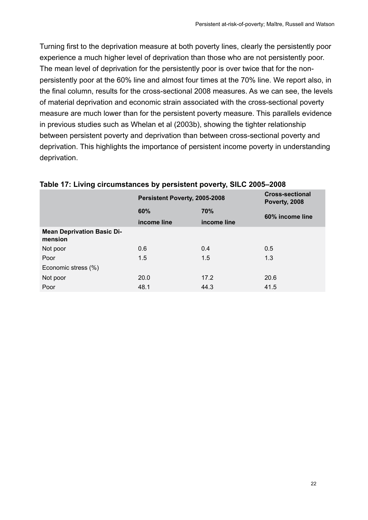<span id="page-27-0"></span>Turning first to the deprivation measure at both poverty lines, clearly the persistently poor experience a much higher level of deprivation than those who are not persistently poor. The mean level of deprivation for the persistently poor is over twice that for the nonpersistently poor at the 60% line and almost four times at the 70% line. We report also, in the final column, results for the cross-sectional 2008 measures. As we can see, the levels of material deprivation and economic strain associated with the cross-sectional poverty measure are much lower than for the persistent poverty measure. This parallels evidence in previous studies such as Whelan et al (2003b), showing the tighter relationship between persistent poverty and deprivation than between cross-sectional poverty and deprivation. This highlights the importance of persistent income poverty in understanding deprivation.

|                                              | Persistent Poverty, 2005-2008 |             | <b>Cross-sectional</b><br>Poverty, 2008 |  |
|----------------------------------------------|-------------------------------|-------------|-----------------------------------------|--|
|                                              | 60%                           | 70%         | 60% income line                         |  |
|                                              | income line                   | income line |                                         |  |
| <b>Mean Deprivation Basic Di-</b><br>mension |                               |             |                                         |  |
| Not poor                                     | 0.6                           | 0.4         | 0.5                                     |  |
| Poor                                         | 1.5                           | 1.5         | 1.3                                     |  |
| Economic stress (%)                          |                               |             |                                         |  |
| Not poor                                     | 20.0                          | 17.2        | 20.6                                    |  |
| Poor                                         | 48.1                          | 44.3        | 41.5                                    |  |

#### **Table 17: Living circumstances by persistent poverty, SILC 2005–2008**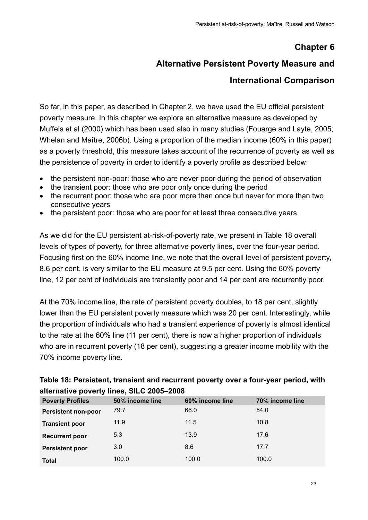### **Chapter 6**

# **Alternative Persistent Poverty Measure and**

#### **International Comparison**

<span id="page-28-0"></span>So far, in this paper, as described in Chapter 2, we have used the EU official persistent poverty measure. In this chapter we explore an alternative measure as developed by Muffels et al (2000) which has been used also in many studies (Fouarge and Layte, 2005; Whelan and Maître, 2006b). Using a proportion of the median income (60% in this paper) as a poverty threshold, this measure takes account of the recurrence of poverty as well as the persistence of poverty in order to identify a poverty profile as described below:

- the persistent non-poor: those who are never poor during the period of observation
- the transient poor: those who are poor only once during the period
- the recurrent poor: those who are poor more than once but never for more than two consecutive years
- the persistent poor: those who are poor for at least three consecutive years.

As we did for the EU persistent at-risk-of-poverty rate, we present in Table 18 overall levels of types of poverty, for three alternative poverty lines, over the four-year period. Focusing first on the 60% income line, we note that the overall level of persistent poverty, 8.6 per cent, is very similar to the EU measure at 9.5 per cent. Using the 60% poverty line, 12 per cent of individuals are transiently poor and 14 per cent are recurrently poor.

At the 70% income line, the rate of persistent poverty doubles, to 18 per cent, slightly lower than the EU persistent poverty measure which was 20 per cent. Interestingly, while the proportion of individuals who had a transient experience of poverty is almost identical to the rate at the 60% line (11 per cent), there is now a higher proportion of individuals who are in recurrent poverty (18 per cent), suggesting a greater income mobility with the 70% income poverty line.

| alternative poverty lines, SILO 2009–2000 |                 |                 |                 |  |
|-------------------------------------------|-----------------|-----------------|-----------------|--|
| <b>Poverty Profiles</b>                   | 50% income line | 60% income line | 70% income line |  |
| <b>Persistent non-poor</b>                | 79.7            | 66.0            | 54.0            |  |
| <b>Transient poor</b>                     | 11.9            | 11.5            | 10.8            |  |
| <b>Recurrent poor</b>                     | 5.3             | 13.9            | 17.6            |  |
| <b>Persistent poor</b>                    | 3.0             | 8.6             | 17.7            |  |
| <b>Total</b>                              | 100.0           | 100.0           | 100.0           |  |

| Table 18: Persistent, transient and recurrent poverty over a four-year period, with |
|-------------------------------------------------------------------------------------|
| alternative poverty lines, SILC 2005-2008                                           |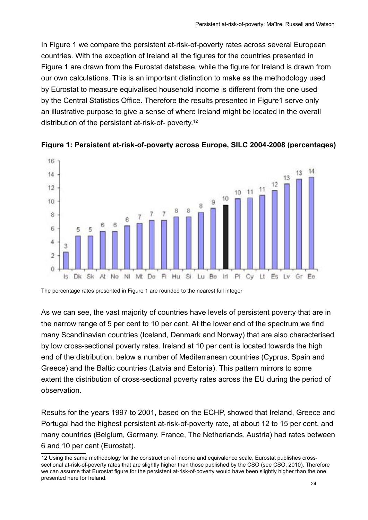<span id="page-29-0"></span>In Figure 1 we compare the persistent at-risk-of-poverty rates across several European countries. With the exception of Ireland all the figures for the countries presented in Figure 1 are drawn from the Eurostat database, while the figure for Ireland is drawn from our own calculations. This is an important distinction to make as the methodology used by Eurostat to measure equivalised household income is different from the one used by the Central Statistics Office. Therefore the results presented in Figure1 serve only an illustrative purpose to give a sense of where Ireland might be located in the overall distribution of the persistent at-risk-of- poverty.12



**Figure 1: Persistent at-risk-of-poverty across Europe, SILC 2004-2008 (percentages)**

The percentage rates presented in Figure 1 are rounded to the nearest full integer

As we can see, the vast majority of countries have levels of persistent poverty that are in the narrow range of 5 per cent to 10 per cent. At the lower end of the spectrum we find many Scandinavian countries (Iceland, Denmark and Norway) that are also characterised by low cross-sectional poverty rates. Ireland at 10 per cent is located towards the high end of the distribution, below a number of Mediterranean countries (Cyprus, Spain and Greece) and the Baltic countries (Latvia and Estonia). This pattern mirrors to some extent the distribution of cross-sectional poverty rates across the EU during the period of observation.

Results for the years 1997 to 2001, based on the ECHP, showed that Ireland, Greece and Portugal had the highest persistent at-risk-of-poverty rate, at about 12 to 15 per cent, and many countries (Belgium, Germany, France, The Netherlands, Austria) had rates between 6 and 10 per cent (Eurostat).

<sup>12</sup> Using the same methodology for the construction of income and equivalence scale, Eurostat publishes crosssectional at-risk-of-poverty rates that are slightly higher than those published by the CSO (see CSO, 2010). Therefore we can assume that Eurostat figure for the persistent at-risk-of-poverty would have been slightly higher than the one presented here for Ireland.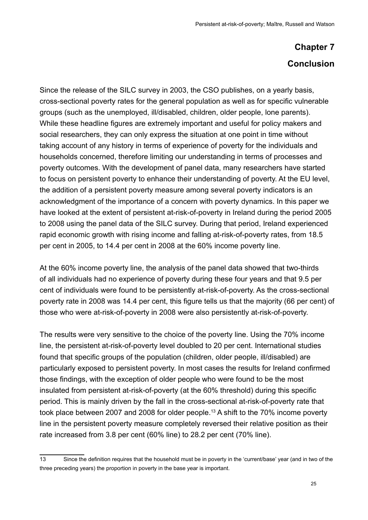# **Chapter 7 Conclusion**

<span id="page-30-0"></span>Since the release of the SILC survey in 2003, the CSO publishes, on a yearly basis, cross-sectional poverty rates for the general population as well as for specific vulnerable groups (such as the unemployed, ill/disabled, children, older people, lone parents). While these headline figures are extremely important and useful for policy makers and social researchers, they can only express the situation at one point in time without taking account of any history in terms of experience of poverty for the individuals and households concerned, therefore limiting our understanding in terms of processes and poverty outcomes. With the development of panel data, many researchers have started to focus on persistent poverty to enhance their understanding of poverty. At the EU level, the addition of a persistent poverty measure among several poverty indicators is an acknowledgment of the importance of a concern with poverty dynamics. In this paper we have looked at the extent of persistent at-risk-of-poverty in Ireland during the period 2005 to 2008 using the panel data of the SILC survey. During that period, Ireland experienced rapid economic growth with rising income and falling at-risk-of-poverty rates, from 18.5 per cent in 2005, to 14.4 per cent in 2008 at the 60% income poverty line.

At the 60% income poverty line, the analysis of the panel data showed that two-thirds of all individuals had no experience of poverty during these four years and that 9.5 per cent of individuals were found to be persistently at-risk-of-poverty. As the cross-sectional poverty rate in 2008 was 14.4 per cent, this figure tells us that the majority (66 per cent) of those who were at-risk-of-poverty in 2008 were also persistently at-risk-of-poverty.

The results were very sensitive to the choice of the poverty line. Using the 70% income line, the persistent at-risk-of-poverty level doubled to 20 per cent. International studies found that specific groups of the population (children, older people, ill/disabled) are particularly exposed to persistent poverty. In most cases the results for Ireland confirmed those findings, with the exception of older people who were found to be the most insulated from persistent at-risk-of-poverty (at the 60% threshold) during this specific period. This is mainly driven by the fall in the cross-sectional at-risk-of-poverty rate that took place between 2007 and 2008 for older people.<sup>13</sup> A shift to the 70% income poverty line in the persistent poverty measure completely reversed their relative position as their rate increased from 3.8 per cent (60% line) to 28.2 per cent (70% line).

<sup>13</sup> Since the definition requires that the household must be in poverty in the 'current/base' year (and in two of the three preceding years) the proportion in poverty in the base year is important.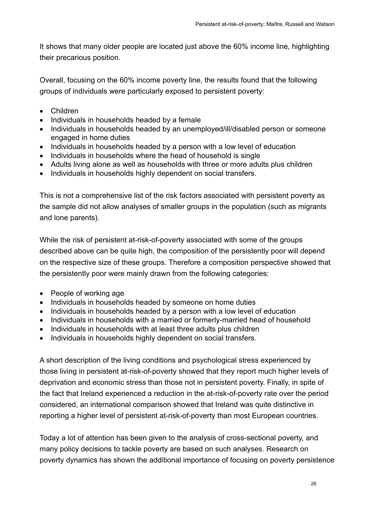It shows that many older people are located just above the 60% income line, highlighting their precarious position.

Overall, focusing on the 60% income poverty line, the results found that the following groups of individuals were particularly exposed to persistent poverty:

- • Children
- Individuals in households headed by a female
- Individuals in households headed by an unemployed/ill/disabled person or someone engaged in home duties
- Individuals in households headed by a person with a low level of education
- Individuals in households where the head of household is single
- Adults living alone as well as households with three or more adults plus children
- Individuals in households highly dependent on social transfers.

This is not a comprehensive list of the risk factors associated with persistent poverty as the sample did not allow analyses of smaller groups in the population (such as migrants and lone parents).

While the risk of persistent at-risk-of-poverty associated with some of the groups described above can be quite high, the composition of the persistently poor will depend on the respective size of these groups. Therefore a composition perspective showed that the persistently poor were mainly drawn from the following categories:

- People of working age
- Individuals in households headed by someone on home duties
- Individuals in households headed by a person with a low level of education
- Individuals in households with a married or formerly-married head of household
- Individuals in households with at least three adults plus children
- Individuals in households highly dependent on social transfers.

A short description of the living conditions and psychological stress experienced by those living in persistent at-risk-of-poverty showed that they report much higher levels of deprivation and economic stress than those not in persistent poverty. Finally, in spite of the fact that Ireland experienced a reduction in the at-risk-of-poverty rate over the period considered, an international comparison showed that Ireland was quite distinctive in reporting a higher level of persistent at-risk-of-poverty than most European countries.

Today a lot of attention has been given to the analysis of cross-sectional poverty, and many policy decisions to tackle poverty are based on such analyses. Research on poverty dynamics has shown the additional importance of focusing on poverty persistence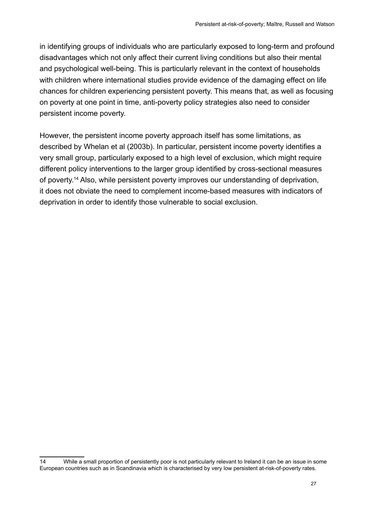in identifying groups of individuals who are particularly exposed to long-term and profound disadvantages which not only affect their current living conditions but also their mental and psychological well-being. This is particularly relevant in the context of households with children where international studies provide evidence of the damaging effect on life chances for children experiencing persistent poverty. This means that, as well as focusing on poverty at one point in time, anti-poverty policy strategies also need to consider persistent income poverty.

However, the persistent income poverty approach itself has some limitations, as described by Whelan et al (2003b). In particular, persistent income poverty identifies a very small group, particularly exposed to a high level of exclusion, which might require different policy interventions to the larger group identified by cross-sectional measures of poverty.14 Also, while persistent poverty improves our understanding of deprivation, it does not obviate the need to complement income-based measures with indicators of deprivation in order to identify those vulnerable to social exclusion.

<sup>14</sup> While a small proportion of persistently poor is not particularly relevant to Ireland it can be an issue in some European countries such as in Scandinavia which is characterised by very low persistent at-risk-of-poverty rates.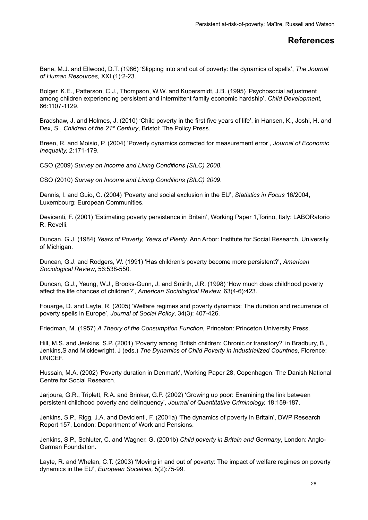#### **References**

<span id="page-33-0"></span>Bane, M.J. and Ellwood, D.T. (1986) 'Slipping into and out of poverty: the dynamics of spells', *The Journal of Human Resources,* XXI (1):2-23.

Bolger, K.E., Patterson, C.J., Thompson, W.W. and Kupersmidt, J.B. (1995) 'Psychosocial adjustment among children experiencing persistent and intermittent family economic hardship', *Child Development,*  66:1107-1129.

Bradshaw, J. and Holmes, J. (2010) 'Child poverty in the first five years of life', in Hansen, K., Joshi, H. and Dex, S., *Children of the 21st Century*, Bristol: The Policy Press.

Breen, R. and Moisio, P. (2004) 'Poverty dynamics corrected for measurement error', *Journal of Economic Inequality,* 2:171-179.

CSO (2009) *Survey on Income and Living Conditions (SILC) 2008*.

CSO (2010) *Survey on Income and Living Conditions (SILC) 2009*.

Dennis, I. and Guio, C. (2004) 'Poverty and social exclusion in the EU', *Statistics in Focus* 16/2004, Luxembourg: European Communities.

Devicenti, F. (2001) 'Estimating poverty persistence in Britain', Working Paper 1,Torino, Italy: LABORatorio R. Revelli.

Duncan, G.J. (1984) *Years of Poverty, Years of Plenty,* Ann Arbor: Institute for Social Research, University of Michigan.

Duncan, G.J. and Rodgers, W. (1991) 'Has children's poverty become more persistent?', *American Sociological Review*, 56:538-550.

Duncan, G.J., Yeung, W.J., Brooks-Gunn, J. and Smirth, J.R. (1998) 'How much does childhood poverty affect the life chances of children?', *American Sociological Review,* 63(4-6):423.

Fouarge, D. and Layte, R. (2005) 'Welfare regimes and poverty dynamics: The duration and recurrence of poverty spells in Europe', *Journal of Social Policy*, 34(3): 407-426.

Friedman, M. (1957) *A Theory of the Consumption Function*, Princeton: Princeton University Press.

Hill, M.S. and Jenkins, S.P. (2001) 'Poverty among British children: Chronic or transitory?' in Bradbury, B , Jenkins,S and Micklewright, J (eds.) *The Dynamics of Child Poverty in Industrialized Countries*, Florence: UNICEF.

Hussain, M.A. (2002) 'Poverty duration in Denmark', Working Paper 28, Copenhagen: The Danish National Centre for Social Research.

Jarjoura, G.R., Triplett, R.A. and Brinker, G.P. (2002) 'Growing up poor: Examining the link between persistent childhood poverty and delinquency', *Journal of Quantitative Criminology,* 18:159-187.

Jenkins, S.P., Rigg, J.A. and Devicienti, F. (2001a) 'The dynamics of poverty in Britain', DWP Research Report 157, London: Department of Work and Pensions.

Jenkins, S.P., Schluter, C. and Wagner, G. (2001b) *Child poverty in Britain and Germany*, London: Anglo-German Foundation.

Layte, R. and Whelan, C.T. (2003) 'Moving in and out of poverty: The impact of welfare regimes on poverty dynamics in the EU', *European Societies,* 5(2):75-99.